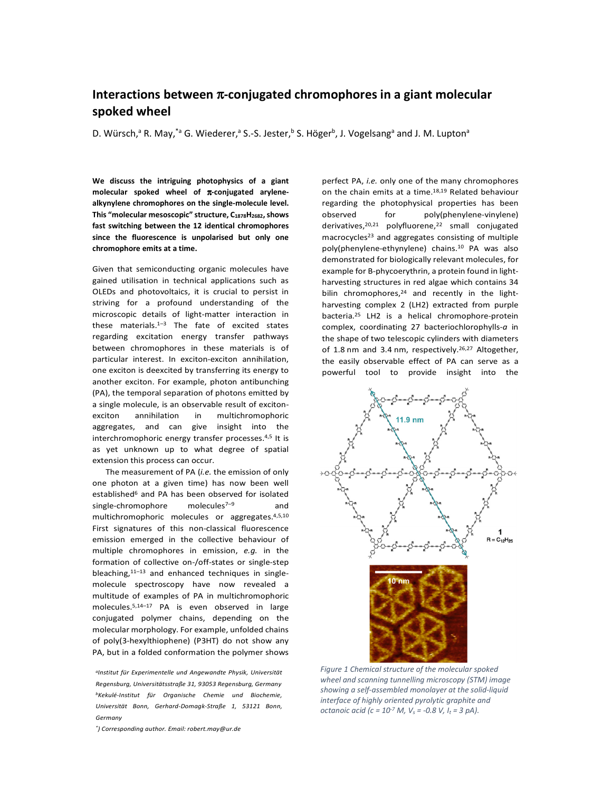## **Interactions between** π**-conjugated chromophores in a giant molecular spoked wheel**

D. Würsch,<sup>a</sup> R. May,<sup>\*a</sup> G. Wiederer,<sup>a</sup> S.-S. Jester,<sup>b</sup> S. Höger<sup>b</sup>, J. Vogelsang<sup>a</sup> and J. M. Lupton<sup>a</sup>

**We discuss the intriguing photophysics of a giant molecular spoked wheel of** π**-conjugated arylenealkynylene chromophores on the single-molecule level. This "molecular mesoscopic" structure, C1878H2682, shows fast switching between the 12 identical chromophores since the fluorescence is unpolarised but only one chromophore emits at a time.** 

Given that semiconducting organic molecules have gained utilisation in technical applications such as OLEDs and photovoltaics, it is crucial to persist in striving for a profound understanding of the microscopic details of light-matter interaction in these materials. $1-3$  The fate of excited states regarding excitation energy transfer pathways between chromophores in these materials is of particular interest. In exciton-exciton annihilation, one exciton is deexcited by transferring its energy to another exciton. For example, photon antibunching (PA), the temporal separation of photons emitted by a single molecule, is an observable result of excitonexciton annihilation in multichromophoric aggregates, and can give insight into the interchromophoric energy transfer processes.4,5 It is as yet unknown up to what degree of spatial extension this process can occur.

 The measurement of PA (*i.e.* the emission of only one photon at a given time) has now been well established<sup>6</sup> and PA has been observed for isolated single-chromophore molecules<sup>7-9</sup> and multichromophoric molecules or aggregates.4,5,10 First signatures of this non-classical fluorescence emission emerged in the collective behaviour of multiple chromophores in emission, *e.g.* in the formation of collective on-/off-states or single-step bleaching, $11-13$  and enhanced techniques in singlemolecule spectroscopy have now revealed a multitude of examples of PA in multichromophoric molecules.5,14–17 PA is even observed in large conjugated polymer chains, depending on the molecular morphology. For example, unfolded chains of poly(3-hexylthiophene) (P3HT) do not show any PA, but in a folded conformation the polymer shows

*a Institut für Experimentelle und Angewandte Physik, Universität Regensburg, Universitätsstraße 31, 93053 Regensburg, Germany <sup>b</sup>Kekulé-Institut für Organische Chemie und Biochemie, Universität Bonn, Gerhard-Domagk-Straße 1, 53121 Bonn, Germany* 

*\* ) Corresponding author. Email: robert.may@ur.de* 

perfect PA, *i.e.* only one of the many chromophores on the chain emits at a time.<sup>18,19</sup> Related behaviour regarding the photophysical properties has been observed for poly(phenylene-vinylene) derivatives, $20,21$  polyfluorene, $22$  small conjugated macrocycles<sup>23</sup> and aggregates consisting of multiple poly(phenylene-ethynylene) chains.10 PA was also demonstrated for biologically relevant molecules, for example for B-phycoerythrin, a protein found in lightharvesting structures in red algae which contains 34 bilin chromophores, $24$  and recently in the lightharvesting complex 2 (LH2) extracted from purple bacteria.25 LH2 is a helical chromophore-protein complex, coordinating 27 bacteriochlorophylls-*a* in the shape of two telescopic cylinders with diameters of 1.8 nm and 3.4 nm, respectively.<sup>26,27</sup> Altogether, the easily observable effect of PA can serve as a powerful tool to provide insight into the



*Figure 1 Chemical structure of the molecular spoked wheel and scanning tunnelling microscopy (STM) image showing a self-assembled monolayer at the solid-liquid interface of highly oriented pyrolytic graphite and octanoic acid (c = 10-7 M, Vs = -0.8 V, It = 3 pA).*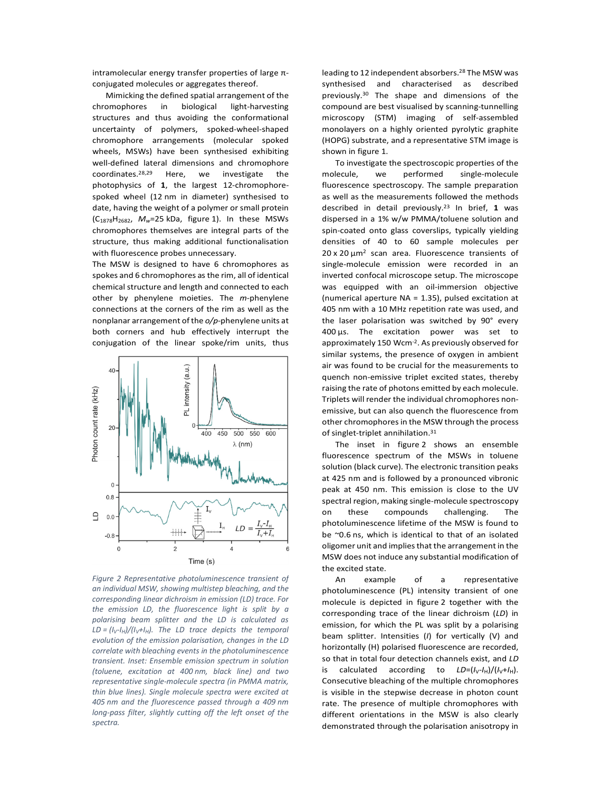intramolecular energy transfer properties of large πconjugated molecules or aggregates thereof.

Mimicking the defined spatial arrangement of the chromophores in biological light-harvesting structures and thus avoiding the conformational uncertainty of polymers, spoked-wheel-shaped chromophore arrangements (molecular spoked wheels, MSWs) have been synthesised exhibiting well-defined lateral dimensions and chromophore coordinates.28,29 Here, we investigate the photophysics of **1**, the largest 12-chromophorespoked wheel (12 nm in diameter) synthesised to date, having the weight of a polymer or small protein (C1878H2682, *Mw*=25 kDa, figure 1). In these MSWs chromophores themselves are integral parts of the structure, thus making additional functionalisation with fluorescence probes unnecessary.

The MSW is designed to have 6 chromophores as spokes and 6 chromophores as the rim, all of identical chemical structure and length and connected to each other by phenylene moieties. The *m*-phenylene connections at the corners of the rim as well as the nonplanar arrangement of the *o/p*-phenylene units at both corners and hub effectively interrupt the conjugation of the linear spoke/rim units, thus



*Figure 2 Representative photoluminescence transient of an individual MSW, showing multistep bleaching, and the corresponding linear dichroism in emission (LD) trace. For the emission LD, the fluorescence light is split by a polarising beam splitter and the LD is calculated as LD* =  $\frac{I_V - I_H}{I_V + I_H}$ . The *LD* trace depicts the temporal *evolution of the emission polarisation, changes in the LD correlate with bleaching events in the photoluminescence transient. Inset: Ensemble emission spectrum in solution (toluene, excitation at 400 nm, black line) and two representative single-molecule spectra (in PMMA matrix, thin blue lines). Single molecule spectra were excited at 405 nm and the fluorescence passed through a 409 nm long-pass filter, slightly cutting off the left onset of the spectra.*

leading to 12 independent absorbers.<sup>28</sup> The MSW was synthesised and characterised as described previously.30 The shape and dimensions of the compound are best visualised by scanning-tunnelling microscopy (STM) imaging of self-assembled monolayers on a highly oriented pyrolytic graphite (HOPG) substrate, and a representative STM image is shown in figure 1.

 To investigate the spectroscopic properties of the molecule, we performed single-molecule fluorescence spectroscopy. The sample preparation as well as the measurements followed the methods described in detail previously.23 In brief, **1** was dispersed in a 1% w/w PMMA/toluene solution and spin-coated onto glass coverslips, typically yielding densities of 40 to 60 sample molecules per  $20 \times 20 \mu m^2$  scan area. Fluorescence transients of single-molecule emission were recorded in an inverted confocal microscope setup. The microscope was equipped with an oil-immersion objective (numerical aperture NA = 1.35), pulsed excitation at 405 nm with a 10 MHz repetition rate was used, and the laser polarisation was switched by 90° every  $400 \,\mu s$ . The excitation power was set to approximately 150 Wcm-2. As previously observed for similar systems, the presence of oxygen in ambient air was found to be crucial for the measurements to quench non-emissive triplet excited states, thereby raising the rate of photons emitted by each molecule. Triplets will render the individual chromophores nonemissive, but can also quench the fluorescence from other chromophores in the MSW through the process of singlet-triplet annihilation.<sup>31</sup>

 The inset in figure 2 shows an ensemble fluorescence spectrum of the MSWs in toluene solution (black curve). The electronic transition peaks at 425 nm and is followed by a pronounced vibronic peak at 450 nm. This emission is close to the UV spectral region, making single-molecule spectroscopy on these compounds challenging. The photoluminescence lifetime of the MSW is found to be ~0.6 ns, which is identical to that of an isolated oligomer unit and implies that the arrangement in the MSW does not induce any substantial modification of the excited state.

 An example of a representative photoluminescence (PL) intensity transient of one molecule is depicted in figure 2 together with the corresponding trace of the linear dichroism (*LD*) in emission, for which the PL was split by a polarising beam splitter. Intensities (*I*) for vertically (V) and horizontally (H) polarised fluorescence are recorded, so that in total four detection channels exist, and *LD* is calculated according to  $LD=(I_V-I_H)/(I_V+I_H)$ . Consecutive bleaching of the multiple chromophores is visible in the stepwise decrease in photon count rate. The presence of multiple chromophores with different orientations in the MSW is also clearly demonstrated through the polarisation anisotropy in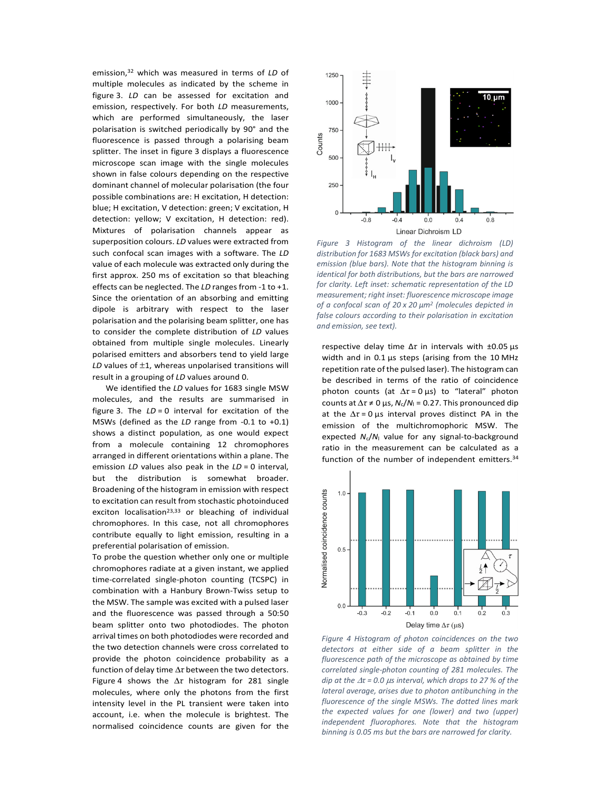emission,32 which was measured in terms of *LD* of multiple molecules as indicated by the scheme in figure 3. *LD* can be assessed for excitation and emission, respectively. For both *LD* measurements, which are performed simultaneously, the laser polarisation is switched periodically by 90° and the fluorescence is passed through a polarising beam splitter. The inset in figure 3 displays a fluorescence microscope scan image with the single molecules shown in false colours depending on the respective dominant channel of molecular polarisation (the four possible combinations are: H excitation, H detection: blue; H excitation, V detection: green; V excitation, H detection: yellow; V excitation, H detection: red). Mixtures of polarisation channels appear as superposition colours. *LD* values were extracted from such confocal scan images with a software. The *LD* value of each molecule was extracted only during the first approx. 250 ms of excitation so that bleaching effects can be neglected. The *LD* ranges from -1 to +1. Since the orientation of an absorbing and emitting dipole is arbitrary with respect to the laser polarisation and the polarising beam splitter, one has to consider the complete distribution of *LD* values obtained from multiple single molecules. Linearly polarised emitters and absorbers tend to yield large *LD* values of ±1, whereas unpolarised transitions will result in a grouping of *LD* values around 0.

 We identified the *LD* values for 1683 single MSW molecules, and the results are summarised in figure 3. The *LD* = 0 interval for excitation of the MSWs (defined as the *LD* range from -0.1 to +0.1) shows a distinct population, as one would expect from a molecule containing 12 chromophores arranged in different orientations within a plane. The emission *LD* values also peak in the *LD* = 0 interval, but the distribution is somewhat broader. Broadening of the histogram in emission with respect to excitation can result from stochastic photoinduced exciton localisation<sup>23,33</sup> or bleaching of individual chromophores. In this case, not all chromophores contribute equally to light emission, resulting in a preferential polarisation of emission.

To probe the question whether only one or multiple chromophores radiate at a given instant, we applied time-correlated single-photon counting (TCSPC) in combination with a Hanbury Brown-Twiss setup to the MSW. The sample was excited with a pulsed laser and the fluorescence was passed through a 50:50 beam splitter onto two photodiodes. The photon arrival times on both photodiodes were recorded and the two detection channels were cross correlated to provide the photon coincidence probability as a function of delay time ∆*τ* between the two detectors. Figure 4 shows the ∆*τ* histogram for 281 single molecules, where only the photons from the first intensity level in the PL transient were taken into account, i.e. when the molecule is brightest. The normalised coincidence counts are given for the



*Figure 3 Histogram of the linear dichroism (LD) distribution for 1683 MSWs for excitation (black bars) and emission (blue bars). Note that the histogram binning is identical for both distributions, but the bars are narrowed for clarity. Left inset: schematic representation of the LD measurement; right inset: fluorescence microscope image of a confocal scan of 20 x 20 µm<sup>2</sup> (molecules depicted in false colours according to their polarisation in excitation and emission, see text).*

respective delay time Δ*τ* in intervals with ±0.05 µs width and in 0.1 µs steps (arising from the 10 MHz repetition rate of the pulsed laser). The histogram can be described in terms of the ratio of coincidence photon counts (at ∆*τ* = 0 µs) to "lateral" photon counts at  $Δτ ≠ 0$  μs,  $N_c/N_1 = 0.27$ . This pronounced dip at the ∆*τ* = 0 µs interval proves distinct PA in the emission of the multichromophoric MSW. The expected *N*c/*N*l value for any signal-to-background ratio in the measurement can be calculated as a function of the number of independent emitters.<sup>34</sup>



*Figure 4 Histogram of photon coincidences on the two detectors at either side of a beam splitter in the fluorescence path of the microscope as obtained by time correlated single-photon counting of 281 molecules. The dip at the* ∆*τ = 0.0* µ*s interval, which drops to 27 % of the lateral average, arises due to photon antibunching in the fluorescence of the single MSWs. The dotted lines mark the expected values for one (lower) and two (upper) independent fluorophores. Note that the histogram binning is 0.05 ms but the bars are narrowed for clarity.*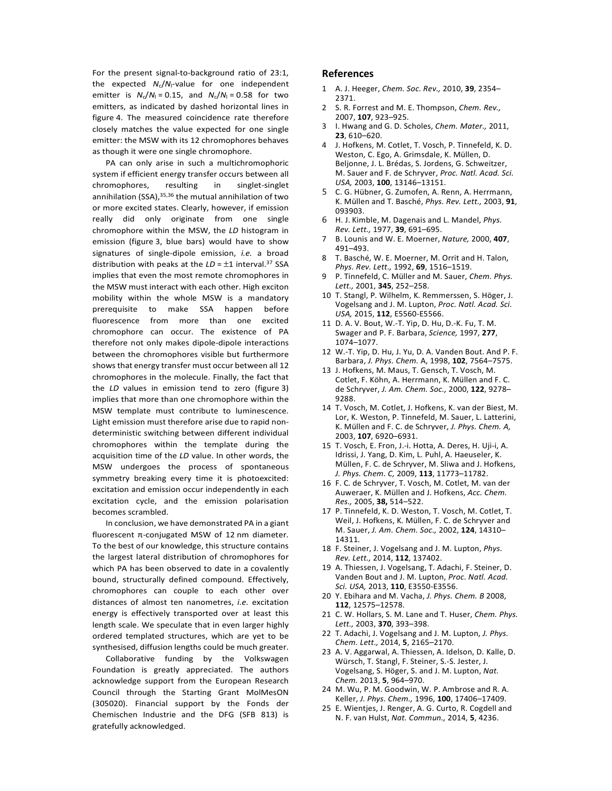For the present signal-to-background ratio of 23:1, the expected  $N_c/N_l$ -value for one independent emitter is  $N_c/N_l = 0.15$ , and  $N_c/N_l = 0.58$  for two emitters, as indicated by dashed horizontal lines in figure 4. The measured coincidence rate therefore closely matches the value expected for one single emitter: the MSW with its 12 chromophores behaves as though it were one single chromophore.

PA can only arise in such a multichromophoric system if efficient energy transfer occurs between all chromophores, resulting in singlet-singlet annihilation (SSA),<sup>35,36</sup> the mutual annihilation of two or more excited states. Clearly, however, if emission really did only originate from one single chromophore within the MSW, the *LD* histogram in emission (figure 3, blue bars) would have to show signatures of single-dipole emission, *i.e.* a broad distribution with peaks at the *LD* = ±1 interval.37 SSA implies that even the most remote chromophores in the MSW must interact with each other. High exciton mobility within the whole MSW is a mandatory prerequisite to make SSA happen before fluorescence from more than one excited chromophore can occur. The existence of PA therefore not only makes dipole-dipole interactions between the chromophores visible but furthermore shows that energy transfer must occur between all 12 chromophores in the molecule. Finally, the fact that the *LD* values in emission tend to zero (figure 3) implies that more than one chromophore within the MSW template must contribute to luminescence. Light emission must therefore arise due to rapid nondeterministic switching between different individual chromophores within the template during the acquisition time of the *LD* value. In other words, the MSW undergoes the process of spontaneous symmetry breaking every time it is photoexcited: excitation and emission occur independently in each excitation cycle, and the emission polarisation becomes scrambled.

 In conclusion, we have demonstrated PA in a giant fluorescent π-conjugated MSW of 12 nm diameter. To the best of our knowledge, this structure contains the largest lateral distribution of chromophores for which PA has been observed to date in a covalently bound, structurally defined compound. Effectively, chromophores can couple to each other over distances of almost ten nanometres, *i.e.* excitation energy is effectively transported over at least this length scale. We speculate that in even larger highly ordered templated structures, which are yet to be synthesised, diffusion lengths could be much greater.

 Collaborative funding by the Volkswagen Foundation is greatly appreciated. The authors acknowledge support from the European Research Council through the Starting Grant MolMesON (305020). Financial support by the Fonds der Chemischen Industrie and the DFG (SFB 813) is gratefully acknowledged.

## **References**

- 1 A. J. Heeger, *Chem. Soc. Rev.,* 2010, **39**, 2354– 2371.
- 2 S. R. Forrest and M. E. Thompson, *Chem. Rev.,* 2007, **107**, 923–925.
- 3 I. Hwang and G. D. Scholes, *Chem. Mater.,* 2011, **23**, 610–620.
- 4 J. Hofkens, M. Cotlet, T. Vosch, P. Tinnefeld, K. D. Weston, C. Ego, A. Grimsdale, K. Müllen, D. Beljonne, J. L. Brédas, S. Jordens, G. Schweitzer, M. Sauer and F. de Schryver, *Proc. Natl. Acad. Sci. USA,* 2003, **100**, 13146–13151.
- 5 C. G. Hübner, G. Zumofen, A. Renn, A. Herrmann, K. Müllen and T. Basché, *Phys. Rev. Lett.,* 2003, **91**, 093903.
- 6 H. J. Kimble, M. Dagenais and L. Mandel, *Phys. Rev. Lett.,* 1977, **39**, 691–695.
- 7 B. Lounis and W. E. Moerner, *Nature,* 2000, **407**, 491–493.
- T. Basché, W. E. Moerner, M. Orrit and H. Talon, *Phys. Rev. Lett.,* 1992, **69**, 1516–1519.
- 9 P. Tinnefeld, C. Müller and M. Sauer, *Chem. Phys. Lett.,* 2001, **345**, 252–258.
- 10 T. Stangl, P. Wilhelm, K. Remmerssen, S. Höger, J. Vogelsang and J. M. Lupton, *Proc. Natl. Acad. Sci. USA,* 2015, **112**, E5560-E5566.
- 11 D. A. V. Bout, W.-T. Yip, D. Hu, D.-K. Fu, T. M. Swager and P. F. Barbara, *Science,* 1997, **277**, 1074–1077.
- 12 W.-T. Yip, D. Hu, J. Yu, D. A. Vanden Bout. And P. F. Barbara, *J. Phys. Chem.* A, 1998, **102**, 7564–7575.
- 13 J. Hofkens, M. Maus, T. Gensch, T. Vosch, M. Cotlet, F. Köhn, A. Herrmann, K. Müllen and F. C. de Schryver, *J. Am. Chem. Soc.,* 2000, **122**, 9278– 9288.
- 14 T. Vosch, M. Cotlet, J. Hofkens, K. van der Biest, M. Lor, K. Weston, P. Tinnefeld, M. Sauer, L. Latterini, K. Müllen and F. C. de Schryver, *J. Phys. Chem. A,* 2003, **107**, 6920–6931.
- 15 T. Vosch, E. Fron, J.-i. Hotta, A. Deres, H. Uji-i, A. Idrissi, J. Yang, D. Kim, L. Puhl, A. Haeuseler, K. Müllen, F. C. de Schryver, M. Sliwa and J. Hofkens, *J. Phys. Chem. C,* 2009, **113**, 11773–11782.
- 16 F. C. de Schryver, T. Vosch, M. Cotlet, M. van der Auweraer, K. Müllen and J. Hofkens, *Acc. Chem. Res.,* 2005, **38,** 514–522.
- 17 P. Tinnefeld, K. D. Weston, T. Vosch, M. Cotlet, T. Weil, J. Hofkens, K. Müllen, F. C. de Schryver and M. Sauer, *J. Am. Chem. Soc.,* 2002, **124**, 14310– 14311.
- 18 F. Steiner, J. Vogelsang and J. M. Lupton, *Phys. Rev. Lett.,* 2014, **112**, 137402.
- 19 A. Thiessen, J. Vogelsang, T. Adachi, F. Steiner, D. Vanden Bout and J. M. Lupton, *Proc. Natl. Acad. Sci. USA,* 2013, **110**, E3550-E3556.
- 20 Y. Ebihara and M. Vacha, *J. Phys. Chem. B* 2008, **112**, 12575–12578.
- 21 C. W. Hollars, S. M. Lane and T. Huser, *Chem. Phys. Lett.,* 2003, **370**, 393–398.
- 22 T. Adachi, J. Vogelsang and J. M. Lupton, *J. Phys. Chem. Lett.,* 2014, **5**, 2165–2170.
- 23 A. V. Aggarwal, A. Thiessen, A. Idelson, D. Kalle, D. Würsch, T. Stangl, F. Steiner, S.-S. Jester, J. Vogelsang, S. Höger, S. and J. M. Lupton, *Nat. Chem.* 2013, **5**, 964–970.
- 24 M. Wu, P. M. Goodwin, W. P. Ambrose and R. A. Keller, *J. Phys. Chem.,* 1996, **100**, 17406–17409.
- 25 E. Wientjes, J. Renger, A. G. Curto, R. Cogdell and N. F. van Hulst, *Nat. Commun.,* 2014, **5**, 4236.